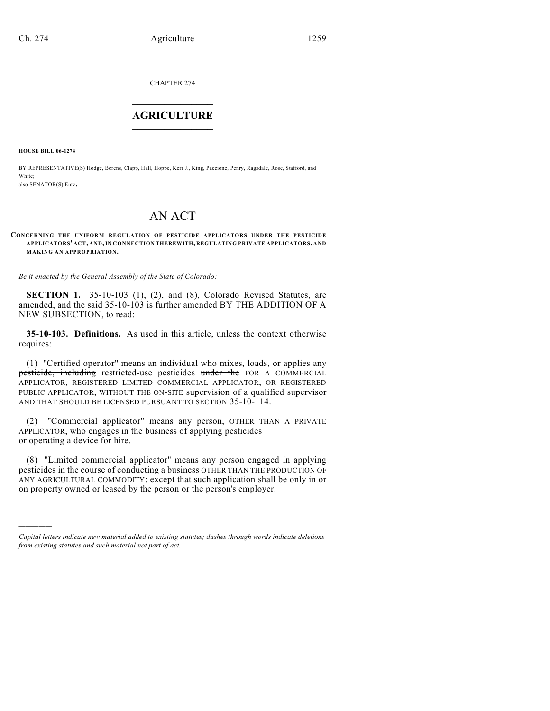CHAPTER 274

## $\overline{\phantom{a}}$  . The set of the set of the set of the set of the set of the set of the set of the set of the set of the set of the set of the set of the set of the set of the set of the set of the set of the set of the set o **AGRICULTURE**  $\_$   $\_$   $\_$   $\_$   $\_$   $\_$   $\_$   $\_$

**HOUSE BILL 06-1274**

)))))

BY REPRESENTATIVE(S) Hodge, Berens, Clapp, Hall, Hoppe, Kerr J., King, Paccione, Penry, Ragsdale, Rose, Stafford, and White; also SENATOR(S) Entz.

# AN ACT

#### **CONCERNING THE UNIFORM REGULATION OF PESTICIDE APPLICATORS UNDER THE PESTICIDE APPLICATORS' ACT, AND, IN CONNECTION THEREWITH, REGULATING PRIVATE APPLICATORS, AND MAKING AN APPROPRIATION.**

*Be it enacted by the General Assembly of the State of Colorado:*

**SECTION 1.** 35-10-103 (1), (2), and (8), Colorado Revised Statutes, are amended, and the said 35-10-103 is further amended BY THE ADDITION OF A NEW SUBSECTION, to read:

**35-10-103. Definitions.** As used in this article, unless the context otherwise requires:

(1) "Certified operator" means an individual who mixes, loads, or applies any pesticide, including restricted-use pesticides under the FOR A COMMERCIAL APPLICATOR, REGISTERED LIMITED COMMERCIAL APPLICATOR, OR REGISTERED PUBLIC APPLICATOR, WITHOUT THE ON-SITE supervision of a qualified supervisor AND THAT SHOULD BE LICENSED PURSUANT TO SECTION 35-10-114.

(2) "Commercial applicator" means any person, OTHER THAN A PRIVATE APPLICATOR, who engages in the business of applying pesticides or operating a device for hire.

(8) "Limited commercial applicator" means any person engaged in applying pesticides in the course of conducting a business OTHER THAN THE PRODUCTION OF ANY AGRICULTURAL COMMODITY; except that such application shall be only in or on property owned or leased by the person or the person's employer.

*Capital letters indicate new material added to existing statutes; dashes through words indicate deletions from existing statutes and such material not part of act.*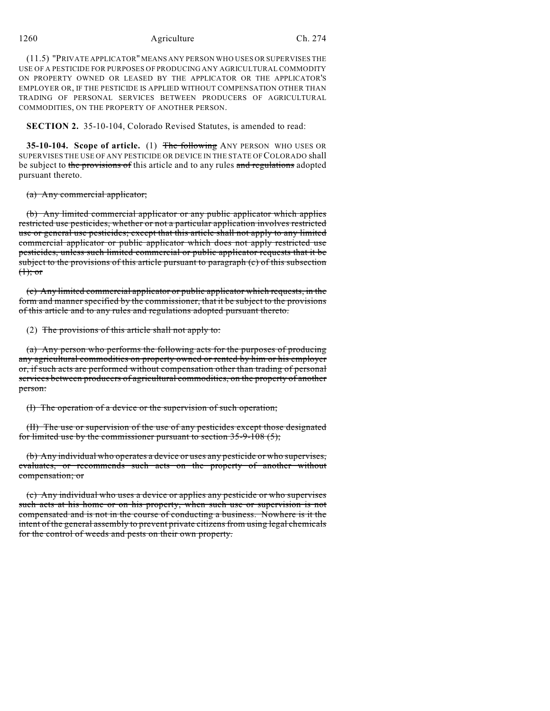#### 1260 Agriculture Ch. 274

(11.5) "PRIVATE APPLICATOR" MEANS ANY PERSON WHO USES OR SUPERVISES THE USE OF A PESTICIDE FOR PURPOSES OF PRODUCING ANY AGRICULTURAL COMMODITY ON PROPERTY OWNED OR LEASED BY THE APPLICATOR OR THE APPLICATOR'S EMPLOYER OR, IF THE PESTICIDE IS APPLIED WITHOUT COMPENSATION OTHER THAN TRADING OF PERSONAL SERVICES BETWEEN PRODUCERS OF AGRICULTURAL COMMODITIES, ON THE PROPERTY OF ANOTHER PERSON.

**SECTION 2.** 35-10-104, Colorado Revised Statutes, is amended to read:

**35-10-104. Scope of article.** (1) The following ANY PERSON WHO USES OR SUPERVISES THE USE OF ANY PESTICIDE OR DEVICE IN THE STATE OF COLORADO shall be subject to the provisions of this article and to any rules and regulations adopted pursuant thereto.

(a) Any commercial applicator;

(b) Any limited commercial applicator or any public applicator which applies restricted use pesticides, whether or not a particular application involves restricted use or general use pesticides; except that this article shall not apply to any limited commercial applicator or public applicator which does not apply restricted use pesticides, unless such limited commercial or public applicator requests that it be subject to the provisions of this article pursuant to paragraph (c) of this subsection  $<sup>(1)</sup>;$  or</sup>

(c) Any limited commercial applicator or public applicator which requests, in the form and manner specified by the commissioner, that it be subject to the provisions of this article and to any rules and regulations adopted pursuant thereto.

(2) The provisions of this article shall not apply to:

(a) Any person who performs the following acts for the purposes of producing any agricultural commodities on property owned or rented by him or his employer or, if such acts are performed without compensation other than trading of personal services between producers of agricultural commodities, on the property of another person:

(I) The operation of a device or the supervision of such operation;

(II) The use or supervision of the use of any pesticides except those designated for limited use by the commissioner pursuant to section  $35-9-108(5)$ ;

(b) Any individual who operates a device or uses any pesticide or who supervises, evaluates, or recommends such acts on the property of another without compensation; or

(c) Any individual who uses a device or applies any pesticide or who supervises such acts at his home or on his property, when such use or supervision is not compensated and is not in the course of conducting a business. Nowhere is it the intent of the general assembly to prevent private citizens from using legal chemicals for the control of weeds and pests on their own property.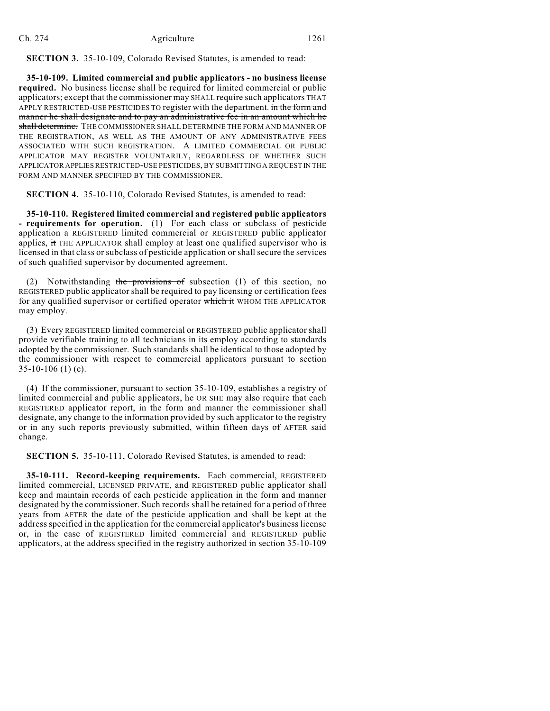**SECTION 3.** 35-10-109, Colorado Revised Statutes, is amended to read:

**35-10-109. Limited commercial and public applicators - no business license required.** No business license shall be required for limited commercial or public applicators; except that the commissioner may SHALL require such applicators THAT APPLY RESTRICTED-USE PESTICIDES TO register with the department. in the form and manner he shall designate and to pay an administrative fee in an amount which he shall determine. THE COMMISSIONER SHALL DETERMINE THE FORM AND MANNER OF THE REGISTRATION, AS WELL AS THE AMOUNT OF ANY ADMINISTRATIVE FEES ASSOCIATED WITH SUCH REGISTRATION. A LIMITED COMMERCIAL OR PUBLIC APPLICATOR MAY REGISTER VOLUNTARILY, REGARDLESS OF WHETHER SUCH APPLICATOR APPLIES RESTRICTED-USE PESTICIDES, BY SUBMITTING A REQUEST IN THE FORM AND MANNER SPECIFIED BY THE COMMISSIONER.

**SECTION 4.** 35-10-110, Colorado Revised Statutes, is amended to read:

**35-10-110. Registered limited commercial and registered public applicators - requirements for operation.** (1) For each class or subclass of pesticide application a REGISTERED limited commercial or REGISTERED public applicator applies, it THE APPLICATOR shall employ at least one qualified supervisor who is licensed in that class or subclass of pesticide application or shall secure the services of such qualified supervisor by documented agreement.

(2) Notwithstanding the provisions of subsection  $(1)$  of this section, no REGISTERED public applicator shall be required to pay licensing or certification fees for any qualified supervisor or certified operator which it WHOM THE APPLICATOR may employ.

(3) Every REGISTERED limited commercial or REGISTERED public applicator shall provide verifiable training to all technicians in its employ according to standards adopted by the commissioner. Such standards shall be identical to those adopted by the commissioner with respect to commercial applicators pursuant to section  $35-10-106$  (1) (c).

(4) If the commissioner, pursuant to section 35-10-109, establishes a registry of limited commercial and public applicators, he OR SHE may also require that each REGISTERED applicator report, in the form and manner the commissioner shall designate, any change to the information provided by such applicator to the registry or in any such reports previously submitted, within fifteen days  $of$  AFTER said change.

**SECTION 5.** 35-10-111, Colorado Revised Statutes, is amended to read:

**35-10-111. Record-keeping requirements.** Each commercial, REGISTERED limited commercial, LICENSED PRIVATE, and REGISTERED public applicator shall keep and maintain records of each pesticide application in the form and manner designated by the commissioner. Such records shall be retained for a period of three years from AFTER the date of the pesticide application and shall be kept at the address specified in the application for the commercial applicator's business license or, in the case of REGISTERED limited commercial and REGISTERED public applicators, at the address specified in the registry authorized in section 35-10-109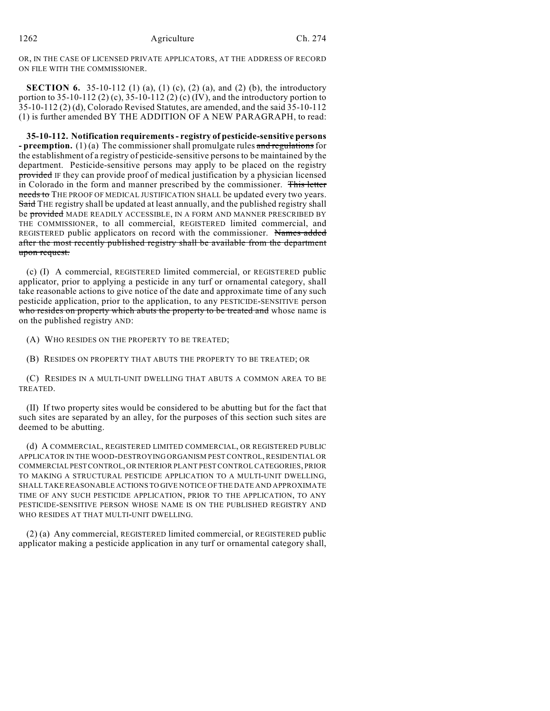OR, IN THE CASE OF LICENSED PRIVATE APPLICATORS, AT THE ADDRESS OF RECORD ON FILE WITH THE COMMISSIONER.

**SECTION 6.** 35-10-112 (1) (a), (1) (c), (2) (a), and (2) (b), the introductory portion to 35-10-112 (2) (c), 35-10-112 (2) (c) (IV), and the introductory portion to 35-10-112 (2) (d), Colorado Revised Statutes, are amended, and the said 35-10-112 (1) is further amended BY THE ADDITION OF A NEW PARAGRAPH, to read:

**35-10-112. Notification requirements - registry of pesticide-sensitive persons - preemption.** (1) (a) The commissioner shall promulgate rules and regulations for the establishment of a registry of pesticide-sensitive persons to be maintained by the department. Pesticide-sensitive persons may apply to be placed on the registry provided IF they can provide proof of medical justification by a physician licensed in Colorado in the form and manner prescribed by the commissioner. This letter needs to THE PROOF OF MEDICAL JUSTIFICATION SHALL be updated every two years. Said THE registry shall be updated at least annually, and the published registry shall be provided MADE READILY ACCESSIBLE, IN A FORM AND MANNER PRESCRIBED BY THE COMMISSIONER, to all commercial, REGISTERED limited commercial, and REGISTERED public applicators on record with the commissioner. Names added after the most recently published registry shall be available from the department upon request.

(c) (I) A commercial, REGISTERED limited commercial, or REGISTERED public applicator, prior to applying a pesticide in any turf or ornamental category, shall take reasonable actions to give notice of the date and approximate time of any such pesticide application, prior to the application, to any PESTICIDE-SENSITIVE person who resides on property which abuts the property to be treated and whose name is on the published registry AND:

(A) WHO RESIDES ON THE PROPERTY TO BE TREATED;

(B) RESIDES ON PROPERTY THAT ABUTS THE PROPERTY TO BE TREATED; OR

(C) RESIDES IN A MULTI-UNIT DWELLING THAT ABUTS A COMMON AREA TO BE TREATED.

(II) If two property sites would be considered to be abutting but for the fact that such sites are separated by an alley, for the purposes of this section such sites are deemed to be abutting.

(d) A COMMERCIAL, REGISTERED LIMITED COMMERCIAL, OR REGISTERED PUBLIC APPLICATOR IN THE WOOD-DESTROYING ORGANISM PEST CONTROL, RESIDENTIAL OR COMMERCIAL PEST CONTROL, OR INTERIOR PLANT PEST CONTROL CATEGORIES, PRIOR TO MAKING A STRUCTURAL PESTICIDE APPLICATION TO A MULTI-UNIT DWELLING, SHALL TAKE REASONABLE ACTIONS TO GIVE NOTICE OF THE DATE AND APPROXIMATE TIME OF ANY SUCH PESTICIDE APPLICATION, PRIOR TO THE APPLICATION, TO ANY PESTICIDE-SENSITIVE PERSON WHOSE NAME IS ON THE PUBLISHED REGISTRY AND WHO RESIDES AT THAT MULTI-UNIT DWELLING.

(2) (a) Any commercial, REGISTERED limited commercial, or REGISTERED public applicator making a pesticide application in any turf or ornamental category shall,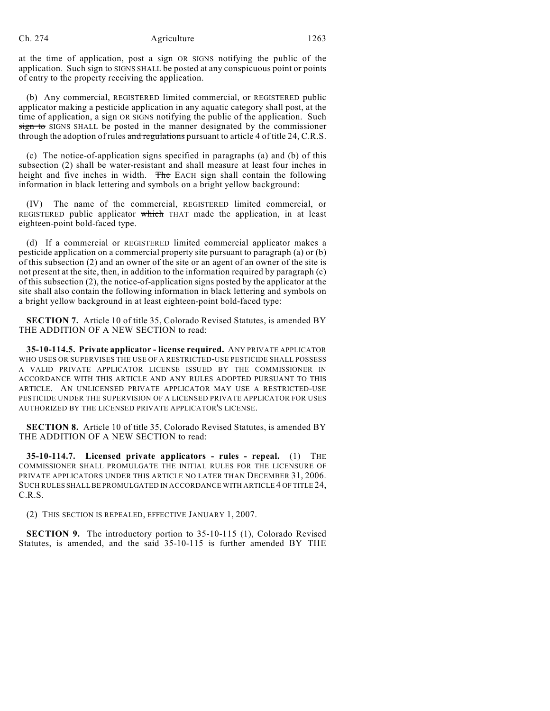### Ch. 274 Agriculture 1263

at the time of application, post a sign OR SIGNS notifying the public of the application. Such sign to SIGNS SHALL be posted at any conspicuous point or points of entry to the property receiving the application.

(b) Any commercial, REGISTERED limited commercial, or REGISTERED public applicator making a pesticide application in any aquatic category shall post, at the time of application, a sign OR SIGNS notifying the public of the application. Such sign to SIGNS SHALL be posted in the manner designated by the commissioner through the adoption of rules and regulations pursuant to article 4 of title 24, C.R.S.

(c) The notice-of-application signs specified in paragraphs (a) and (b) of this subsection (2) shall be water-resistant and shall measure at least four inches in height and five inches in width. The EACH sign shall contain the following information in black lettering and symbols on a bright yellow background:

(IV) The name of the commercial, REGISTERED limited commercial, or REGISTERED public applicator which THAT made the application, in at least eighteen-point bold-faced type.

(d) If a commercial or REGISTERED limited commercial applicator makes a pesticide application on a commercial property site pursuant to paragraph (a) or (b) of this subsection (2) and an owner of the site or an agent of an owner of the site is not present at the site, then, in addition to the information required by paragraph (c) of this subsection (2), the notice-of-application signs posted by the applicator at the site shall also contain the following information in black lettering and symbols on a bright yellow background in at least eighteen-point bold-faced type:

**SECTION 7.** Article 10 of title 35, Colorado Revised Statutes, is amended BY THE ADDITION OF A NEW SECTION to read:

**35-10-114.5. Private applicator - license required.** ANY PRIVATE APPLICATOR WHO USES OR SUPERVISES THE USE OF A RESTRICTED-USE PESTICIDE SHALL POSSESS A VALID PRIVATE APPLICATOR LICENSE ISSUED BY THE COMMISSIONER IN ACCORDANCE WITH THIS ARTICLE AND ANY RULES ADOPTED PURSUANT TO THIS ARTICLE. AN UNLICENSED PRIVATE APPLICATOR MAY USE A RESTRICTED-USE PESTICIDE UNDER THE SUPERVISION OF A LICENSED PRIVATE APPLICATOR FOR USES AUTHORIZED BY THE LICENSED PRIVATE APPLICATOR'S LICENSE.

**SECTION 8.** Article 10 of title 35, Colorado Revised Statutes, is amended BY THE ADDITION OF A NEW SECTION to read:

**35-10-114.7. Licensed private applicators - rules - repeal.** (1) THE COMMISSIONER SHALL PROMULGATE THE INITIAL RULES FOR THE LICENSURE OF PRIVATE APPLICATORS UNDER THIS ARTICLE NO LATER THAN DECEMBER 31, 2006. SUCH RULES SHALLBE PROMULGATED IN ACCORDANCE WITH ARTICLE 4 OF TITLE 24, C.R.S.

(2) THIS SECTION IS REPEALED, EFFECTIVE JANUARY 1, 2007.

**SECTION 9.** The introductory portion to 35-10-115 (1), Colorado Revised Statutes, is amended, and the said 35-10-115 is further amended BY THE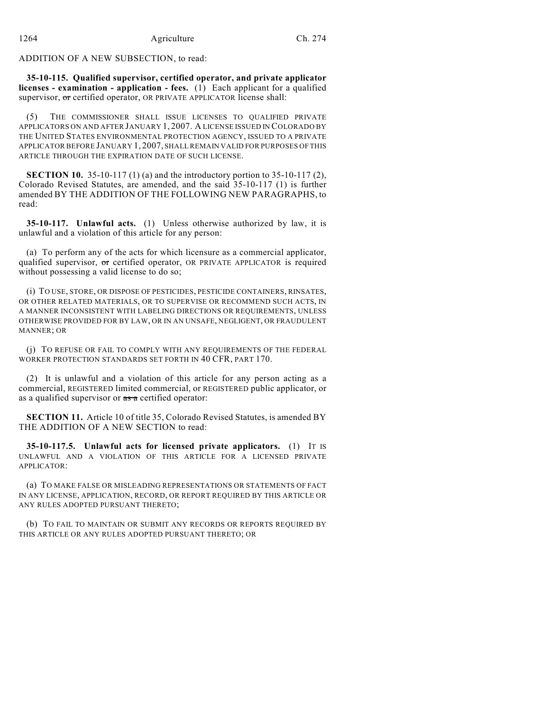ADDITION OF A NEW SUBSECTION, to read:

**35-10-115. Qualified supervisor, certified operator, and private applicator licenses - examination - application - fees.** (1) Each applicant for a qualified supervisor, or certified operator, OR PRIVATE APPLICATOR license shall:

(5) THE COMMISSIONER SHALL ISSUE LICENSES TO QUALIFIED PRIVATE APPLICATORS ON AND AFTER JANUARY 1, 2007. A LICENSE ISSUED IN COLORADO BY THE UNITED STATES ENVIRONMENTAL PROTECTION AGENCY, ISSUED TO A PRIVATE APPLICATOR BEFORE JANUARY 1, 2007, SHALL REMAIN VALID FOR PURPOSES OF THIS ARTICLE THROUGH THE EXPIRATION DATE OF SUCH LICENSE.

**SECTION 10.** 35-10-117 (1) (a) and the introductory portion to 35-10-117 (2), Colorado Revised Statutes, are amended, and the said 35-10-117 (1) is further amended BY THE ADDITION OF THE FOLLOWING NEW PARAGRAPHS, to read:

**35-10-117. Unlawful acts.** (1) Unless otherwise authorized by law, it is unlawful and a violation of this article for any person:

(a) To perform any of the acts for which licensure as a commercial applicator, qualified supervisor, or certified operator, OR PRIVATE APPLICATOR is required without possessing a valid license to do so;

(i) TO USE, STORE, OR DISPOSE OF PESTICIDES, PESTICIDE CONTAINERS, RINSATES, OR OTHER RELATED MATERIALS, OR TO SUPERVISE OR RECOMMEND SUCH ACTS, IN A MANNER INCONSISTENT WITH LABELING DIRECTIONS OR REQUIREMENTS, UNLESS OTHERWISE PROVIDED FOR BY LAW, OR IN AN UNSAFE, NEGLIGENT, OR FRAUDULENT MANNER; OR

(j) TO REFUSE OR FAIL TO COMPLY WITH ANY REQUIREMENTS OF THE FEDERAL WORKER PROTECTION STANDARDS SET FORTH IN 40 CFR, PART 170.

(2) It is unlawful and a violation of this article for any person acting as a commercial, REGISTERED limited commercial, or REGISTERED public applicator, or as a qualified supervisor or  $\frac{1}{\sqrt{2}}$  as a certified operator:

**SECTION 11.** Article 10 of title 35, Colorado Revised Statutes, is amended BY THE ADDITION OF A NEW SECTION to read:

**35-10-117.5. Unlawful acts for licensed private applicators.** (1) IT IS UNLAWFUL AND A VIOLATION OF THIS ARTICLE FOR A LICENSED PRIVATE APPLICATOR:

(a) TO MAKE FALSE OR MISLEADING REPRESENTATIONS OR STATEMENTS OF FACT IN ANY LICENSE, APPLICATION, RECORD, OR REPORT REQUIRED BY THIS ARTICLE OR ANY RULES ADOPTED PURSUANT THERETO;

(b) TO FAIL TO MAINTAIN OR SUBMIT ANY RECORDS OR REPORTS REQUIRED BY THIS ARTICLE OR ANY RULES ADOPTED PURSUANT THERETO; OR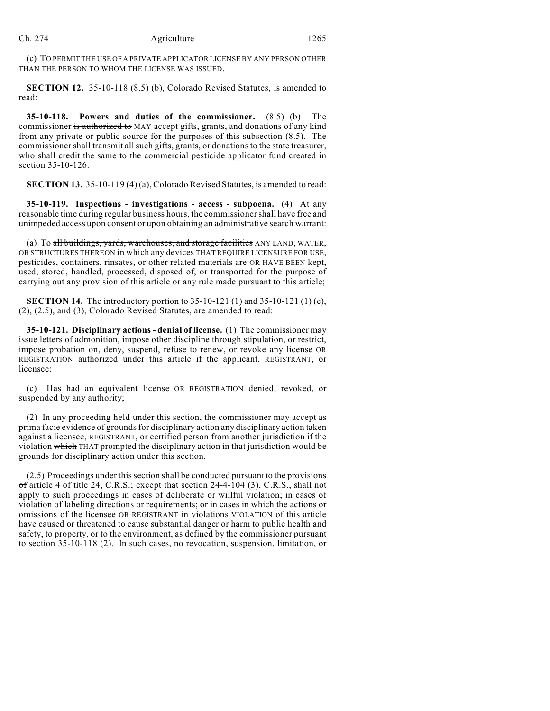(c) TO PERMIT THE USE OF A PRIVATE APPLICATOR LICENSE BY ANY PERSON OTHER THAN THE PERSON TO WHOM THE LICENSE WAS ISSUED.

**SECTION 12.** 35-10-118 (8.5) (b), Colorado Revised Statutes, is amended to read:

**35-10-118. Powers and duties of the commissioner.** (8.5) (b) The commissioner is authorized to MAY accept gifts, grants, and donations of any kind from any private or public source for the purposes of this subsection (8.5). The commissioner shall transmit all such gifts, grants, or donations to the state treasurer, who shall credit the same to the commercial pesticide applicator fund created in section 35-10-126.

**SECTION 13.** 35-10-119 (4) (a), Colorado Revised Statutes, is amended to read:

**35-10-119. Inspections - investigations - access - subpoena.** (4) At any reasonable time during regular business hours, the commissioner shall have free and unimpeded access upon consent or upon obtaining an administrative search warrant:

(a) To all buildings, yards, warehouses, and storage facilities ANY LAND, WATER, OR STRUCTURES THEREON in which any devices THAT REQUIRE LICENSURE FOR USE, pesticides, containers, rinsates, or other related materials are OR HAVE BEEN kept, used, stored, handled, processed, disposed of, or transported for the purpose of carrying out any provision of this article or any rule made pursuant to this article;

**SECTION 14.** The introductory portion to 35-10-121 (1) and 35-10-121 (1) (c), (2), (2.5), and (3), Colorado Revised Statutes, are amended to read:

**35-10-121. Disciplinary actions - denial of license.** (1) The commissioner may issue letters of admonition, impose other discipline through stipulation, or restrict, impose probation on, deny, suspend, refuse to renew, or revoke any license OR REGISTRATION authorized under this article if the applicant, REGISTRANT, or licensee:

(c) Has had an equivalent license OR REGISTRATION denied, revoked, or suspended by any authority;

(2) In any proceeding held under this section, the commissioner may accept as prima facie evidence of grounds for disciplinary action any disciplinary action taken against a licensee, REGISTRANT, or certified person from another jurisdiction if the violation which THAT prompted the disciplinary action in that jurisdiction would be grounds for disciplinary action under this section.

 $(2.5)$  Proceedings under this section shall be conducted pursuant to the provisions of article 4 of title 24, C.R.S.; except that section  $24-4-104$  (3), C.R.S., shall not apply to such proceedings in cases of deliberate or willful violation; in cases of violation of labeling directions or requirements; or in cases in which the actions or omissions of the licensee OR REGISTRANT in violations VIOLATION of this article have caused or threatened to cause substantial danger or harm to public health and safety, to property, or to the environment, as defined by the commissioner pursuant to section 35-10-118 (2). In such cases, no revocation, suspension, limitation, or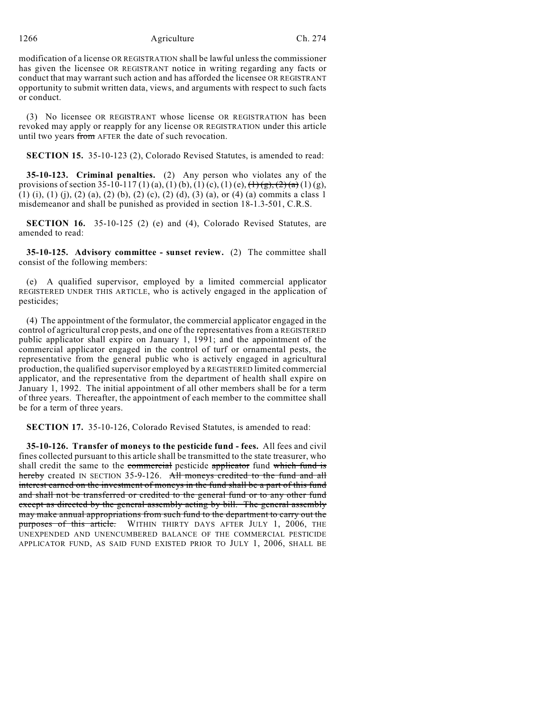1266 Agriculture Ch. 274

modification of a license OR REGISTRATION shall be lawful unless the commissioner has given the licensee OR REGISTRANT notice in writing regarding any facts or conduct that may warrant such action and has afforded the licensee OR REGISTRANT opportunity to submit written data, views, and arguments with respect to such facts or conduct.

(3) No licensee OR REGISTRANT whose license OR REGISTRATION has been revoked may apply or reapply for any license OR REGISTRATION under this article until two years from AFTER the date of such revocation.

**SECTION 15.** 35-10-123 (2), Colorado Revised Statutes, is amended to read:

**35-10-123. Criminal penalties.** (2) Any person who violates any of the provisions of section 35-10-117 (1) (a), (1) (b), (1) (c), (1) (e),  $\left(\frac{1}{2}\right)\left(\frac{1}{2}\right)\left(\frac{2}{3}\right)$  (1) (g), (1) (i), (1) (j), (2) (a), (2) (b), (2) (c), (2) (d), (3) (a), or (4) (a) commits a class 1 misdemeanor and shall be punished as provided in section 18-1.3-501, C.R.S.

**SECTION 16.** 35-10-125 (2) (e) and (4), Colorado Revised Statutes, are amended to read:

**35-10-125. Advisory committee - sunset review.** (2) The committee shall consist of the following members:

(e) A qualified supervisor, employed by a limited commercial applicator REGISTERED UNDER THIS ARTICLE, who is actively engaged in the application of pesticides;

(4) The appointment of the formulator, the commercial applicator engaged in the control of agricultural crop pests, and one of the representatives from a REGISTERED public applicator shall expire on January 1, 1991; and the appointment of the commercial applicator engaged in the control of turf or ornamental pests, the representative from the general public who is actively engaged in agricultural production, the qualified supervisor employed by a REGISTERED limited commercial applicator, and the representative from the department of health shall expire on January 1, 1992. The initial appointment of all other members shall be for a term of three years. Thereafter, the appointment of each member to the committee shall be for a term of three years.

**SECTION 17.** 35-10-126, Colorado Revised Statutes, is amended to read:

**35-10-126. Transfer of moneys to the pesticide fund - fees.** All fees and civil fines collected pursuant to this article shall be transmitted to the state treasurer, who shall credit the same to the commercial pesticide applicator fund which fund is hereby created IN SECTION 35-9-126. All moneys credited to the fund and all interest earned on the investment of moneys in the fund shall be a part of this fund and shall not be transferred or credited to the general fund or to any other fund except as directed by the general assembly acting by bill. The general assembly may make annual appropriations from such fund to the department to carry out the purposes of this article. WITHIN THIRTY DAYS AFTER JULY 1, 2006, THE UNEXPENDED AND UNENCUMBERED BALANCE OF THE COMMERCIAL PESTICIDE APPLICATOR FUND, AS SAID FUND EXISTED PRIOR TO JULY 1, 2006, SHALL BE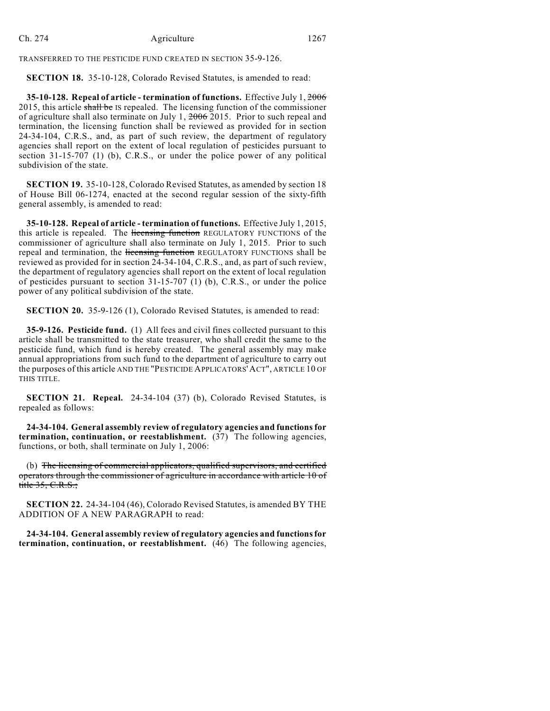TRANSFERRED TO THE PESTICIDE FUND CREATED IN SECTION 35-9-126.

**SECTION 18.** 35-10-128, Colorado Revised Statutes, is amended to read:

**35-10-128. Repeal of article - termination of functions.** Effective July 1, 2006 2015, this article shall be IS repealed. The licensing function of the commissioner of agriculture shall also terminate on July 1, 2006 2015. Prior to such repeal and termination, the licensing function shall be reviewed as provided for in section 24-34-104, C.R.S., and, as part of such review, the department of regulatory agencies shall report on the extent of local regulation of pesticides pursuant to section 31-15-707 (1) (b), C.R.S., or under the police power of any political subdivision of the state.

**SECTION 19.** 35-10-128, Colorado Revised Statutes, as amended by section 18 of House Bill 06-1274, enacted at the second regular session of the sixty-fifth general assembly, is amended to read:

**35-10-128. Repeal of article - termination of functions.** Effective July 1, 2015, this article is repealed. The licensing function REGULATORY FUNCTIONS of the commissioner of agriculture shall also terminate on July 1, 2015. Prior to such repeal and termination, the licensing function REGULATORY FUNCTIONS shall be reviewed as provided for in section 24-34-104, C.R.S., and, as part of such review, the department of regulatory agencies shall report on the extent of local regulation of pesticides pursuant to section 31-15-707 (1) (b), C.R.S., or under the police power of any political subdivision of the state.

**SECTION 20.** 35-9-126 (1), Colorado Revised Statutes, is amended to read:

**35-9-126. Pesticide fund.** (1) All fees and civil fines collected pursuant to this article shall be transmitted to the state treasurer, who shall credit the same to the pesticide fund, which fund is hereby created. The general assembly may make annual appropriations from such fund to the department of agriculture to carry out the purposes of this article AND THE "PESTICIDE APPLICATORS'ACT", ARTICLE 10 OF THIS TITLE.

**SECTION 21. Repeal.** 24-34-104 (37) (b), Colorado Revised Statutes, is repealed as follows:

**24-34-104. General assembly review of regulatory agencies and functions for termination, continuation, or reestablishment.** (37) The following agencies, functions, or both, shall terminate on July 1, 2006:

(b) The licensing of commercial applicators, qualified supervisors, and certified operators through the commissioner of agriculture in accordance with article 10 of title 35, C.R.S.;

**SECTION 22.** 24-34-104 (46), Colorado Revised Statutes, is amended BY THE ADDITION OF A NEW PARAGRAPH to read:

**24-34-104. General assembly review of regulatory agencies and functions for termination, continuation, or reestablishment.** (46) The following agencies,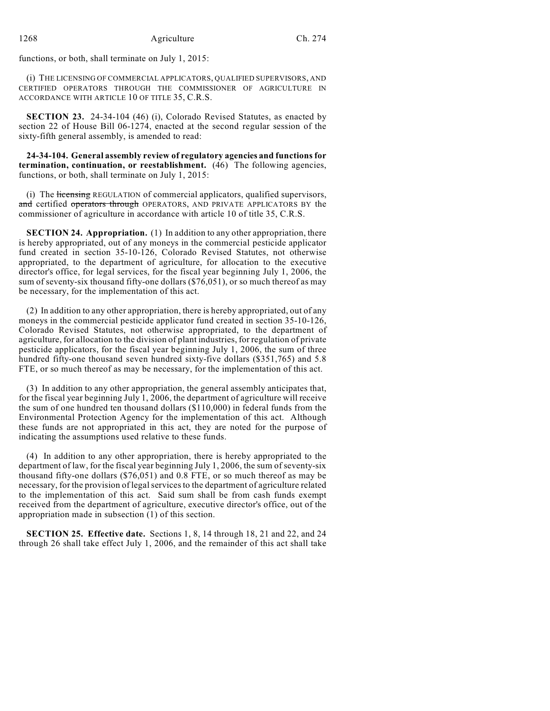functions, or both, shall terminate on July 1, 2015:

(i) THE LICENSING OF COMMERCIAL APPLICATORS, QUALIFIED SUPERVISORS, AND CERTIFIED OPERATORS THROUGH THE COMMISSIONER OF AGRICULTURE IN ACCORDANCE WITH ARTICLE 10 OF TITLE 35, C.R.S.

**SECTION 23.** 24-34-104 (46) (i), Colorado Revised Statutes, as enacted by section 22 of House Bill 06-1274, enacted at the second regular session of the sixty-fifth general assembly, is amended to read:

**24-34-104. General assembly review of regulatory agencies and functions for termination, continuation, or reestablishment.** (46) The following agencies, functions, or both, shall terminate on July 1, 2015:

(i) The *licensing* REGULATION of commercial applicators, qualified supervisors, and certified operators through OPERATORS, AND PRIVATE APPLICATORS BY the commissioner of agriculture in accordance with article 10 of title 35, C.R.S.

**SECTION 24. Appropriation.** (1) In addition to any other appropriation, there is hereby appropriated, out of any moneys in the commercial pesticide applicator fund created in section 35-10-126, Colorado Revised Statutes, not otherwise appropriated, to the department of agriculture, for allocation to the executive director's office, for legal services, for the fiscal year beginning July 1, 2006, the sum of seventy-six thousand fifty-one dollars (\$76,051), or so much thereof as may be necessary, for the implementation of this act.

(2) In addition to any other appropriation, there is hereby appropriated, out of any moneys in the commercial pesticide applicator fund created in section 35-10-126, Colorado Revised Statutes, not otherwise appropriated, to the department of agriculture, for allocation to the division of plant industries, for regulation of private pesticide applicators, for the fiscal year beginning July 1, 2006, the sum of three hundred fifty-one thousand seven hundred sixty-five dollars (\$351,765) and 5.8 FTE, or so much thereof as may be necessary, for the implementation of this act.

(3) In addition to any other appropriation, the general assembly anticipates that, for the fiscal year beginning July 1, 2006, the department of agriculture will receive the sum of one hundred ten thousand dollars (\$110,000) in federal funds from the Environmental Protection Agency for the implementation of this act. Although these funds are not appropriated in this act, they are noted for the purpose of indicating the assumptions used relative to these funds.

(4) In addition to any other appropriation, there is hereby appropriated to the department of law, for the fiscal year beginning July 1, 2006, the sum of seventy-six thousand fifty-one dollars (\$76,051) and 0.8 FTE, or so much thereof as may be necessary, for the provision of legalservicesto the department of agriculture related to the implementation of this act. Said sum shall be from cash funds exempt received from the department of agriculture, executive director's office, out of the appropriation made in subsection (1) of this section.

**SECTION 25. Effective date.** Sections 1, 8, 14 through 18, 21 and 22, and 24 through 26 shall take effect July 1, 2006, and the remainder of this act shall take